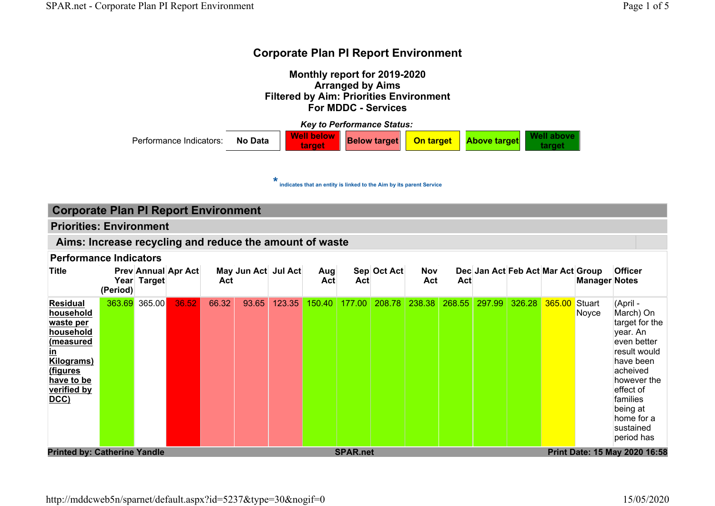

## Corporate Plan PI Report Environment

### Priorities: Environment

#### Aims: Increase recycling and reduce the amount of waste

| <b>Title</b>                                                                                                                                           | (Period) | Year Target | <b>Prev Annual Apr Act</b> | Act∣  | May Jun Act Jul Act |        | Aug<br>Act | Act    | Sep Oct Act | <b>Nov</b><br>Act | Act |               | Dec Jan Act Feb Act Mar Act Group |               | <b>Manager Notes</b> | <b>Officer</b>                                                                                                                                                                                           |
|--------------------------------------------------------------------------------------------------------------------------------------------------------|----------|-------------|----------------------------|-------|---------------------|--------|------------|--------|-------------|-------------------|-----|---------------|-----------------------------------|---------------|----------------------|----------------------------------------------------------------------------------------------------------------------------------------------------------------------------------------------------------|
| <b>Residual</b><br>household<br>waste per<br>household<br>(measured<br><u>in</u><br><b>Kilograms</b> )<br>(figures<br>have to be<br>verified by<br>DCC | 363.69   | 365.00      | 36.52                      | 66.32 | 93.65               | 123.35 | 150.40     | 177.00 | 208.78      | 238.38            |     | 268.55 297.99 | 326.28                            | 365.00 Stuart | Noyce                | (April -<br>March) On<br>target for the<br>year. An<br>even better<br>result would<br>have been<br>acheived<br>however the<br>effect of<br>families<br>being at<br>home for a<br>sustained<br>period has |
| <b>Printed by: Catherine Yandle</b><br>Print Date: 15 May 2020 16:58<br><b>SPAR.net</b>                                                                |          |             |                            |       |                     |        |            |        |             |                   |     |               |                                   |               |                      |                                                                                                                                                                                                          |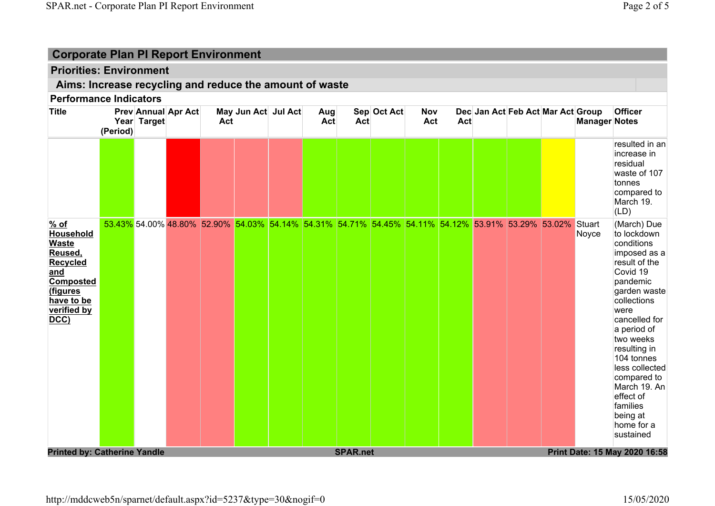## Priorities: Environment

## Aims: Increase recycling and reduce the amount of waste

| <b>Title</b>                                                                                                                   | (Period) | Year Target | <b>Prev Annual Apr Act</b> | Act                                                                                                      | May Jun Act Jul Act | Aug<br>Act | Act             | Sep Oct Act | <b>Nov</b><br>Act | Act | Dec Jan Act Feb Act Mar Act Group |  | <b>Manager Notes</b> | Officer                                                                                                                                                                                                                                                                                                                              |
|--------------------------------------------------------------------------------------------------------------------------------|----------|-------------|----------------------------|----------------------------------------------------------------------------------------------------------|---------------------|------------|-----------------|-------------|-------------------|-----|-----------------------------------|--|----------------------|--------------------------------------------------------------------------------------------------------------------------------------------------------------------------------------------------------------------------------------------------------------------------------------------------------------------------------------|
|                                                                                                                                |          |             |                            |                                                                                                          |                     |            |                 |             |                   |     |                                   |  |                      | resulted in an<br>increase in<br>residual<br>waste of 107<br>tonnes<br>compared to<br>March 19.<br>(LD)                                                                                                                                                                                                                              |
| $%$ of<br>Household<br><b>Waste</b><br>Reused,<br>Recycled<br>and<br>Composted<br>(figures<br>have to be<br>verified by<br>DCC |          |             |                            | 53.43% 54.00% 48.80% 52.90% 54.03% 54.14% 54.31% 54.71% 54.45% 54.11% 54.12% 53.91% 53.29% 53.02% Stuart |                     |            |                 |             |                   |     |                                   |  | Noyce                | (March) Due<br>to lockdown<br>conditions<br>imposed as a<br>result of the<br>Covid 19<br>pandemic<br>garden waste<br>collections<br>were<br>cancelled for<br>a period of<br>two weeks<br>resulting in<br>104 tonnes<br>less collected<br>compared to<br>March 19. An<br>effect of<br>families<br>being at<br>home for a<br>sustained |
| <b>Printed by: Catherine Yandle</b>                                                                                            |          |             |                            |                                                                                                          |                     |            | <b>SPAR.net</b> |             |                   |     |                                   |  |                      | Print Date: 15 May 2020 16:58                                                                                                                                                                                                                                                                                                        |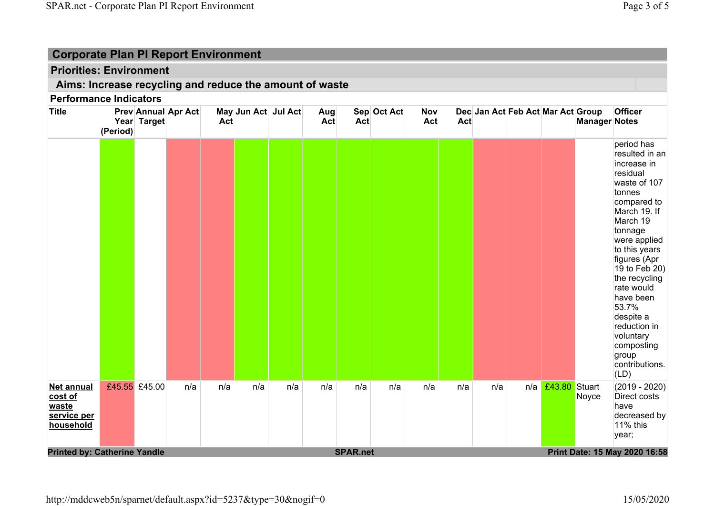## Priorities: Environment

## Aims: Increase recycling and reduce the amount of waste

| period has<br>increase in<br>residual<br>tonnes<br>March 19<br>tonnage<br>rate would<br>have been<br>53.7%<br>despite a<br>voluntary<br>group<br>(LD)<br>£43.80 Stuart<br>£45.55 £45.00<br>n/a<br>n/a<br>n/a<br>n/a<br>n/a<br>n/a<br>n/a<br>n/a<br>n/a<br><b>Net annual</b><br>n/a<br>n/a<br>cost of<br>Noyce<br>waste<br>have<br>service per<br>11% this<br>household<br>year; | <b>Title</b> | (Period) | Year Target | <b>Prev Annual Apr Act</b> | Act | May Jun Act Jul Act | Aug<br>Act | <b>Act</b> | Sep Oct Act | <b>Nov</b><br>Act | <b>Act</b> | Dec Jan Act Feb Act Mar Act Group | <b>Manager Notes</b> | Officer                                                                                                                                                                                          |
|---------------------------------------------------------------------------------------------------------------------------------------------------------------------------------------------------------------------------------------------------------------------------------------------------------------------------------------------------------------------------------|--------------|----------|-------------|----------------------------|-----|---------------------|------------|------------|-------------|-------------------|------------|-----------------------------------|----------------------|--------------------------------------------------------------------------------------------------------------------------------------------------------------------------------------------------|
|                                                                                                                                                                                                                                                                                                                                                                                 |              |          |             |                            |     |                     |            |            |             |                   |            |                                   |                      | resulted in an<br>waste of 107<br>compared to<br>March 19. If<br>were applied<br>to this years<br>figures (Apr<br>19 to Feb 20)<br>the recycling<br>reduction in<br>composting<br>contributions. |
| <b>SPAR.net</b><br><b>Printed by: Catherine Yandle</b><br>Print Date: 15 May 2020 16:58                                                                                                                                                                                                                                                                                         |              |          |             |                            |     |                     |            |            |             |                   |            |                                   |                      | $(2019 - 2020)$<br>Direct costs<br>decreased by                                                                                                                                                  |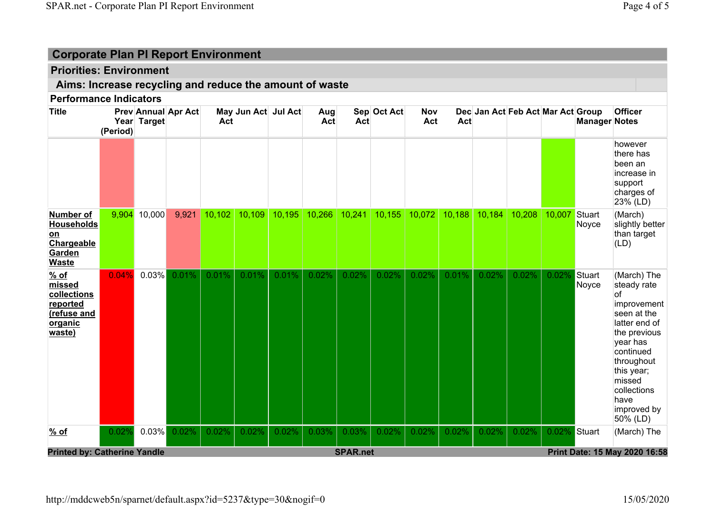## Priorities: Environment

## Aims: Increase recycling and reduce the amount of waste

| <b>Title</b>                                                                    | (Period) | Year Target                                                                             | <b>Prev Annual Apr Act</b> | Act    | May Jun Act Jul Act |        | Aug<br>Act | Act    | Sep Oct Act | Nov<br>Act | Act    | Dec Jan Act Feb Act Mar Act Group |        |        | <b>Manager Notes</b> | <b>Officer</b>                                                                                                                                                                                                    |
|---------------------------------------------------------------------------------|----------|-----------------------------------------------------------------------------------------|----------------------------|--------|---------------------|--------|------------|--------|-------------|------------|--------|-----------------------------------|--------|--------|----------------------|-------------------------------------------------------------------------------------------------------------------------------------------------------------------------------------------------------------------|
|                                                                                 |          |                                                                                         |                            |        |                     |        |            |        |             |            |        |                                   |        |        |                      | however<br>there has<br>been an<br>increase in<br>support<br>charges of<br>23% (LD)                                                                                                                               |
| Number of<br><b>Households</b><br>on<br>Chargeable<br>Garden<br><b>Waste</b>    | 9,904    | 10,000                                                                                  | 9,921                      | 10,102 | 10,109              | 10,195 | 10,266     | 10,241 | 10,155      | 10,072     | 10,188 | 10,184                            | 10,208 | 10,007 | Stuart<br>Noyce      | (March)<br>slightly better<br>than target<br>(LD)                                                                                                                                                                 |
| $%$ of<br>missed<br>collections<br>reported<br>(refuse and<br>organic<br>waste) | 0.04%    | 0.03%                                                                                   | 0.01%                      | 0.01%  | 0.01%               | 0.01%  | 0.02%      | 0.02%  | 0.02%       | 0.02%      | 0.01%  | 0.02%                             | 0.02%  | 0.02%  | Stuart<br>Noyce      | (March) The<br>steady rate<br>lof<br>improvement<br>seen at the<br>latter end of<br>the previous<br>year has<br>continued<br>throughout<br>this year;<br>missed<br>collections<br>have<br>improved by<br>50% (LD) |
| % of                                                                            | 0.02%    | $0.03\%$                                                                                | 0.02%                      | 0.02%  | 0.02%               | 0.02%  | 0.03%      | 0.03%  | 0.02%       | 0.02%      | 0.02%  | 0.02%                             | 0.02%  | 0.02%  | Stuart               | (March) The                                                                                                                                                                                                       |
|                                                                                 |          | <b>SPAR.net</b><br><b>Printed by: Catherine Yandle</b><br>Print Date: 15 May 2020 16:58 |                            |        |                     |        |            |        |             |            |        |                                   |        |        |                      |                                                                                                                                                                                                                   |